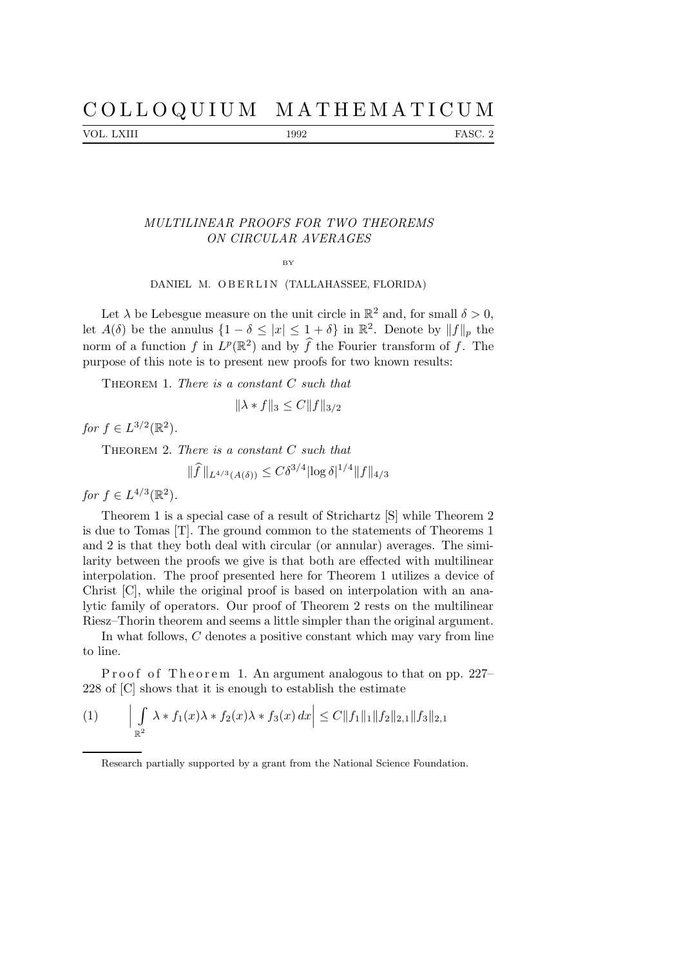## C O L L O Q U I U M M A T H E M A T I C U M

VOL. LXIII 1992 FASC. 2

## MULTILINEAR PROOFS FOR TWO THEOREMS ON CIRCULAR AVERAGES

BY

DANIEL M. OBERLIN (TALLAHASSEE, FLORIDA)

Let  $\lambda$  be Lebesgue measure on the unit circle in  $\mathbb{R}^2$  and, for small  $\delta > 0$ , let  $A(\delta)$  be the annulus  $\{1 - \delta \leq |x| \leq 1 + \delta\}$  in  $\mathbb{R}^2$ . Denote by  $||f||_p$  the norm of a function f in  $L^p(\mathbb{R}^2)$  and by  $\widehat{f}$  the Fourier transform of f. The purpose of this note is to present new proofs for two known results:

THEOREM 1. There is a constant  $C$  such that

$$
\|\lambda * f\|_3 \le C \|f\|_{3/2}
$$

for  $f \in L^{3/2}(\mathbb{R}^2)$ .

THEOREM 2. There is a constant  $C$  such that

$$
\|\widehat{f}\|_{L^{4/3}(A(\delta))} \le C\delta^{3/4} |\log \delta|^{1/4} \|f\|_{4/3}
$$

for  $f \in L^{4/3}(\mathbb{R}^2)$ .

Theorem 1 is a special case of a result of Strichartz [S] while Theorem 2 is due to Tomas [T]. The ground common to the statements of Theorems 1 and 2 is that they both deal with circular (or annular) averages. The similarity between the proofs we give is that both are effected with multilinear interpolation. The proof presented here for Theorem 1 utilizes a device of Christ [C], while the original proof is based on interpolation with an analytic family of operators. Our proof of Theorem 2 rests on the multilinear Riesz–Thorin theorem and seems a little simpler than the original argument.

In what follows, C denotes a positive constant which may vary from line to line.

Proof of Theorem 1. An argument analogous to that on pp. 227– 228 of [C] shows that it is enough to establish the estimate

(1) 
$$
\left| \int_{\mathbb{R}^2} \lambda * f_1(x) \lambda * f_2(x) \lambda * f_3(x) dx \right| \leq C ||f_1||_1 ||f_2||_{2,1} ||f_3||_{2,1}
$$

Research partially supported by a grant from the National Science Foundation.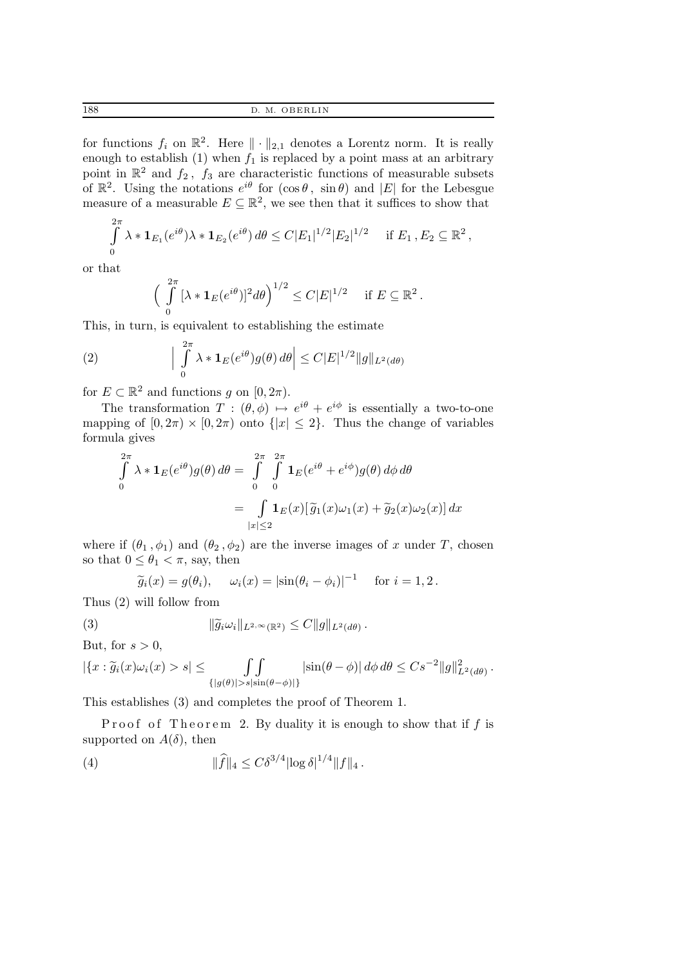for functions  $f_i$  on  $\mathbb{R}^2$ . Here  $\|\cdot\|_{2,1}$  denotes a Lorentz norm. It is really enough to establish (1) when  $f_1$  is replaced by a point mass at an arbitrary point in  $\mathbb{R}^2$  and  $f_2$ ,  $f_3$  are characteristic functions of measurable subsets of  $\mathbb{R}^2$ . Using the notations  $e^{i\theta}$  for  $(\cos \theta, \sin \theta)$  and  $|E|$  for the Lebesgue measure of a measurable  $E \subseteq \mathbb{R}^2$ , we see then that it suffices to show that

$$
\int_{0}^{2\pi} \lambda * \mathbf{1}_{E_1}(e^{i\theta}) \lambda * \mathbf{1}_{E_2}(e^{i\theta}) d\theta \leq C |E_1|^{1/2} |E_2|^{1/2} \quad \text{if } E_1, E_2 \subseteq \mathbb{R}^2,
$$

or that

$$
\left(\int\limits_{0}^{2\pi} [\lambda * \mathbf{1}_E(e^{i\theta})]^2 d\theta\right)^{1/2} \leq C|E|^{1/2} \quad \text{ if } E \subseteq \mathbb{R}^2.
$$

This, in turn, is equivalent to establishing the estimate

(2) 
$$
\left| \int_{0}^{2\pi} \lambda * \mathbf{1}_{E}(e^{i\theta}) g(\theta) d\theta \right| \leq C |E|^{1/2} \|g\|_{L^{2}(d\theta)}
$$

for  $E \subset \mathbb{R}^2$  and functions g on  $[0, 2\pi)$ .

The transformation  $T : (\theta, \phi) \mapsto e^{i\theta} + e^{i\phi}$  is essentially a two-to-one mapping of  $[0, 2\pi) \times [0, 2\pi)$  onto  $\{|x| \leq 2\}$ . Thus the change of variables formula gives

$$
\int_{0}^{2\pi} \lambda * \mathbf{1}_{E}(e^{i\theta})g(\theta) d\theta = \int_{0}^{2\pi} \int_{0}^{2\pi} \mathbf{1}_{E}(e^{i\theta} + e^{i\phi})g(\theta) d\phi d\theta
$$

$$
= \int_{|x| \le 2} \mathbf{1}_{E}(x)[\tilde{g}_{1}(x)\omega_{1}(x) + \tilde{g}_{2}(x)\omega_{2}(x)] dx
$$

where if  $(\theta_1, \phi_1)$  and  $(\theta_2, \phi_2)$  are the inverse images of x under T, chosen so that  $0 \leq \theta_1 < \pi$ , say, then

$$
\widetilde{g}_i(x) = g(\theta_i), \quad \omega_i(x) = |\sin(\theta_i - \phi_i)|^{-1} \quad \text{for } i = 1, 2.
$$

Thus (2) will follow from

(3) 
$$
\|\widetilde{g}_i\omega_i\|_{L^{2,\infty}(\mathbb{R}^2)} \leq C\|g\|_{L^2(d\theta)}.
$$

But, for  $s > 0$ ,

$$
|\{x:\tilde{g}_i(x)\omega_i(x)>s|\leq \iint\limits_{\{|g(\theta)|>s|\sin(\theta-\phi)|\}}|\sin(\theta-\phi)|\,d\phi\,d\theta\leq Cs^{-2}\|g\|_{L^2(d\theta)}^2.
$$

This establishes (3) and completes the proof of Theorem 1.

Proof of Theorem 2. By duality it is enough to show that if  $f$  is supported on  $A(\delta)$ , then

(4) 
$$
\|\widehat{f}\|_4 \leq C\delta^{3/4} |\log \delta|^{1/4} \|f\|_4.
$$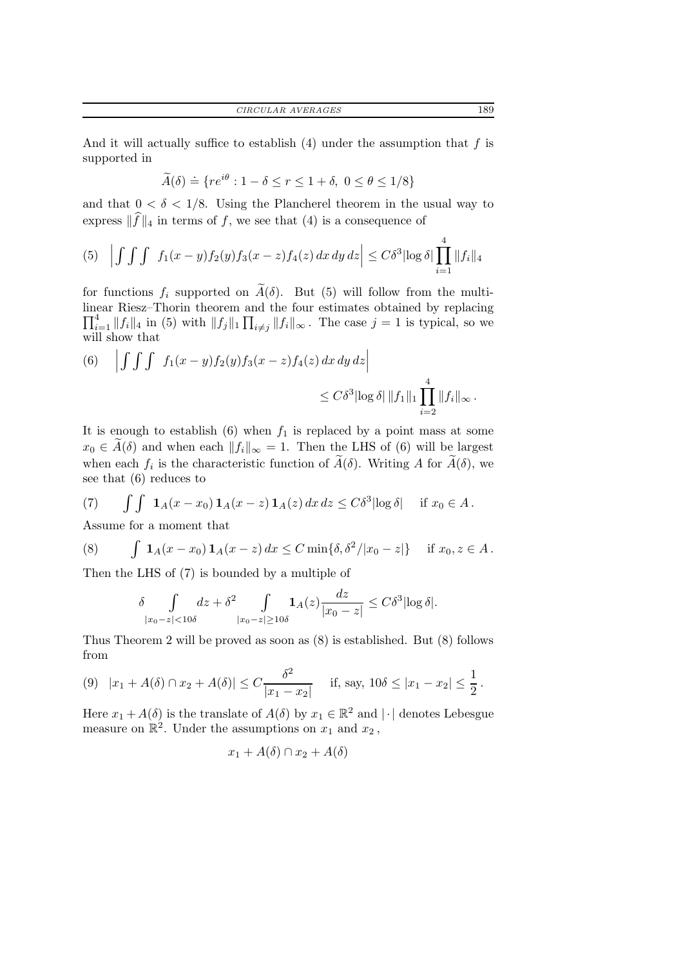And it will actually suffice to establish  $(4)$  under the assumption that f is supported in

$$
\widetilde{A}(\delta) \doteq \{re^{i\theta}: 1-\delta \leq r \leq 1+\delta, \ 0 \leq \theta \leq 1/8\}
$$

and that  $0 < \delta < 1/8$ . Using the Plancherel theorem in the usual way to express  $\|\widehat{f}\|_4$  in terms of f, we see that (4) is a consequence of

(5) 
$$
\left| \int \int \int f_1(x-y)f_2(y)f_3(x-z)f_4(z) dx dy dz \right| \leq C\delta^3 |\log \delta| \prod_{i=1}^4 ||f_i||_4
$$

for functions  $f_i$  supported on  $\widetilde{A}(\delta)$ . But (5) will follow from the multilinear Riesz–Thorin theorem and the four estimates obtaine d by replacing  $\prod_{i=1}^4 ||f_i||_4$  in (5) with  $||f_j||_1 \prod_{i \neq j} ||f_i||_{\infty}$ . The case  $j = 1$  is typical, so we will show that

(6) 
$$
\left| \int \int \int f_1(x-y)f_2(y)f_3(x-z)f_4(z) dx dy dz \right|
$$
  
 $\leq C\delta^3 |\log \delta| ||f_1||_1 \prod_{i=2}^4 ||f_i||_{\infty}.$ 

It is enough to establish (6) when  $f_1$  is replaced by a point mass at some  $x_0 \in \widetilde{A}(\delta)$  and when each  $||f_i||_{\infty} = 1$ . Then the LHS of (6) will be largest when each  $f_i$  is the characteristic function of  $A(\delta)$ . Writing A for  $A(\delta)$ , we see that (6) reduces to

(7) 
$$
\iint \mathbf{1}_A(x-x_0) \mathbf{1}_A(x-z) \mathbf{1}_A(z) dx dz \leq C \delta^3 |\log \delta| \quad \text{if } x_0 \in A.
$$

Assume for a moment that

(8) 
$$
\int \mathbf{1}_A(x-x_0) \mathbf{1}_A(x-z) dx \leq C \min\{\delta, \delta^2/|x_0-z|\} \text{ if } x_0, z \in A.
$$

Then the LHS of (7) is bounded by a multiple of

$$
\delta \int\limits_{|x_0-z|<10\delta} dz + \delta^2 \int\limits_{|x_0-z|\geq 10\delta} \mathbf{1}_A(z) \frac{dz}{|x_0-z|} \leq C\delta^3 |\log \delta|.
$$

Thus Theorem 2 will be proved as soon as (8) is established. But (8) follows from

$$
(9) \quad |x_1 + A(\delta) \cap x_2 + A(\delta)| \leq C \frac{\delta^2}{|x_1 - x_2|} \quad \text{ if, say, } 10\delta \leq |x_1 - x_2| \leq \frac{1}{2}.
$$

Here  $x_1 + A(\delta)$  is the translate of  $A(\delta)$  by  $x_1 \in \mathbb{R}^2$  and  $|\cdot|$  denotes Lebesgue measure on  $\mathbb{R}^2$ . Under the assumptions on  $x_1$  and  $x_2$ ,

$$
x_1 + A(\delta) \cap x_2 + A(\delta)
$$